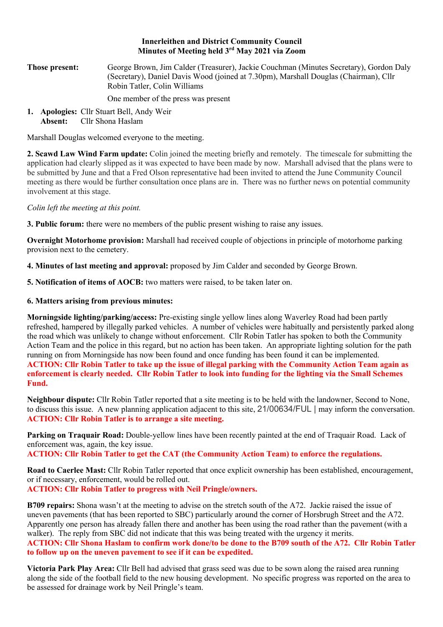## **Innerleithen and District Community Council Minutes of Meeting held 3rd May 2021 via Zoom**

**Those present:** George Brown, Jim Calder (Treasurer), Jackie Couchman (Minutes Secretary), Gordon Daly (Secretary), Daniel Davis Wood (joined at 7.30pm), Marshall Douglas (Chairman), Cllr Robin Tatler, Colin Williams

One member of the press was present

**1. Apologies:** Cllr Stuart Bell, Andy Weir **Absent:** Cllr Shona Haslam

Marshall Douglas welcomed everyone to the meeting.

**2. Scawd Law Wind Farm update:** Colin joined the meeting briefly and remotely. The timescale for submitting the application had clearly slipped as it was expected to have been made by now. Marshall advised that the plans were to be submitted by June and that a Fred Olson representative had been invited to attend the June Community Council meeting as there would be further consultation once plans are in. There was no further news on potential community involvement at this stage.

*Colin left the meeting at this point.*

**3. Public forum:** there were no members of the public present wishing to raise any issues.

**Overnight Motorhome provision:** Marshall had received couple of objections in principle of motorhome parking provision next to the cemetery.

**4. Minutes of last meeting and approval:** proposed by Jim Calder and seconded by George Brown.

**5. Notification of items of AOCB:** two matters were raised, to be taken later on.

## **6. Matters arising from previous minutes:**

**Morningside lighting/parking/access:** Pre-existing single yellow lines along Waverley Road had been partly refreshed, hampered by illegally parked vehicles. A number of vehicles were habitually and persistently parked along the road which was unlikely to change without enforcement. Cllr Robin Tatler has spoken to both the Community Action Team and the police in this regard, but no action has been taken. An appropriate lighting solution for the path running on from Morningside has now been found and once funding has been found it can be implemented. **ACTION: Cllr Robin Tatler to take up the issue of illegal parking with the Community Action Team again as enforcement is clearly needed. Cllr Robin Tatler to look into funding for the lighting via the Small Schemes Fund.**

**Neighbour dispute:** Cllr Robin Tatler reported that a site meeting is to be held with the landowner, Second to None, to discuss this issue. A new planning application adjacent to this site, 21/00634/FUL | may inform the conversation. **ACTION: Cllr Robin Tatler is to arrange a site meeting.**

**Parking on Traquair Road:** Double-yellow lines have been recently painted at the end of Traquair Road. Lack of enforcement was, again, the key issue.

**ACTION: Cllr Robin Tatler to get the CAT (the Community Action Team) to enforce the regulations.** 

**Road to Caerlee Mast:** Cllr Robin Tatler reported that once explicit ownership has been established, encouragement, or if necessary, enforcement, would be rolled out.

**ACTION: Cllr Robin Tatler to progress with Neil Pringle/owners.** 

**B709 repairs:** Shona wasn't at the meeting to advise on the stretch south of the A72. Jackie raised the issue of uneven pavements (that has been reported to SBC) particularly around the corner of Horsbrugh Street and the A72. Apparently one person has already fallen there and another has been using the road rather than the pavement (with a walker). The reply from SBC did not indicate that this was being treated with the urgency it merits. **ACTION: Cllr Shona Haslam to confirm work done/to be done to the B709 south of the A72. Cllr Robin Tatler to follow up on the uneven pavement to see if it can be expedited.**

**Victoria Park Play Area:** Cllr Bell had advised that grass seed was due to be sown along the raised area running along the side of the football field to the new housing development. No specific progress was reported on the area to be assessed for drainage work by Neil Pringle's team.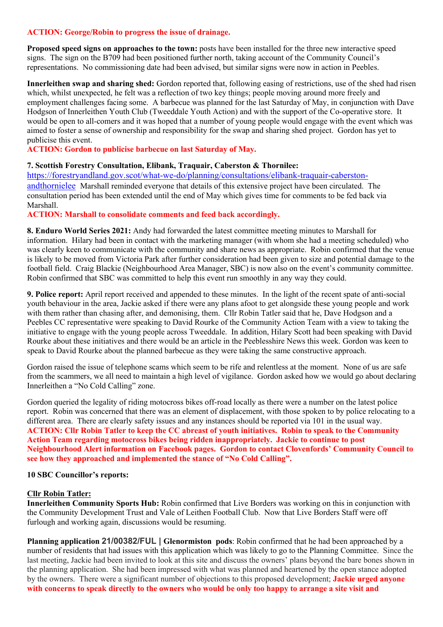## **ACTION: George/Robin to progress the issue of drainage.**

**Proposed speed signs on approaches to the town:** posts have been installed for the three new interactive speed signs. The sign on the B709 had been positioned further north, taking account of the Community Council's representations. No commissioning date had been advised, but similar signs were now in action in Peebles.

**Innerleithen swap and sharing shed:** Gordon reported that, following easing of restrictions, use of the shed had risen which, whilst unexpected, he felt was a reflection of two key things; people moving around more freely and employment challenges facing some. A barbecue was planned for the last Saturday of May, in conjunction with Dave Hodgson of Innerleithen Youth Club (Tweeddale Youth Action) and with the support of the Co-operative store. It would be open to all-comers and it was hoped that a number of young people would engage with the event which was aimed to foster a sense of ownership and responsibility for the swap and sharing shed project. Gordon has yet to publicise this event.

**ACTION: Gordon to publicise barbecue on last Saturday of May.**

## **7. Scottish Forestry Consultation, Elibank, Traquair, Caberston & Thornilee:**

https://forestryandland.gov.scot/what-we-do/planning/consultations/elibank-traquair-caberstonandthornielee Marshall reminded everyone that details of this extensive project have been circulated. The consultation period has been extended until the end of May which gives time for comments to be fed back via Marshall.

## **ACTION: Marshall to consolidate comments and feed back accordingly.**

**8. Enduro World Series 2021:** Andy had forwarded the latest committee meeting minutes to Marshall for information.Hilary had been in contact with the marketing manager (with whom she had a meeting scheduled) who was clearly keen to communicate with the community and share news as appropriate. Robin confirmed that the venue is likely to be moved from Victoria Park after further consideration had been given to size and potential damage to the football field. Craig Blackie (Neighbourhood Area Manager, SBC) is now also on the event's community committee. Robin confirmed that SBC was committed to help this event run smoothly in any way they could.

**9. Police report:** April report received and appended to these minutes. In the light of the recent spate of anti-social youth behaviour in the area, Jackie asked if there were any plans afoot to get alongside these young people and work with them rather than chasing after, and demonising, them. Cllr Robin Tatler said that he, Dave Hodgson and a Peebles CC representative were speaking to David Rourke of the Community Action Team with a view to taking the initiative to engage with the young people across Tweeddale. In addition, Hilary Scott had been speaking with David Rourke about these initiatives and there would be an article in the Peeblesshire News this week. Gordon was keen to speak to David Rourke about the planned barbecue as they were taking the same constructive approach.

Gordon raised the issue of telephone scams which seem to be rife and relentless at the moment. None of us are safe from the scammers, we all need to maintain a high level of vigilance. Gordon asked how we would go about declaring Innerleithen a "No Cold Calling" zone.

Gordon queried the legality of riding motocross bikes off-road locally as there were a number on the latest police report. Robin was concerned that there was an element of displacement, with those spoken to by police relocating to a different area. There are clearly safety issues and any instances should be reported via 101 in the usual way. **ACTION: Cllr Robin Tatler to keep the CC abreast of youth initiatives. Robin to speak to the Community Action Team regarding motocross bikes being ridden inappropriately. Jackie to continue to post Neighbourhood Alert information on Facebook pages. Gordon to contact Clovenfords' Community Council to see how they approached and implemented the stance of "No Cold Calling".** 

#### **10 SBC Councillor's reports:**

#### **Cllr Robin Tatler:**

**Innerleithen Community Sports Hub:** Robin confirmed that Live Borders was working on this in conjunction with the Community Development Trust and Vale of Leithen Football Club. Now that Live Borders Staff were off furlough and working again, discussions would be resuming.

**Planning application 21/00382/FUL | Glenormiston pods**: Robin confirmed that he had been approached by a number of residents that had issues with this application which was likely to go to the Planning Committee. Since the last meeting, Jackie had been invited to look at this site and discuss the owners' plans beyond the bare bones shown in the planning application. She had been impressed with what was planned and heartened by the open stance adopted by the owners. There were a significant number of objections to this proposed development; **Jackie urged anyone with concerns to speak directly to the owners who would be only too happy to arrange a site visit and**